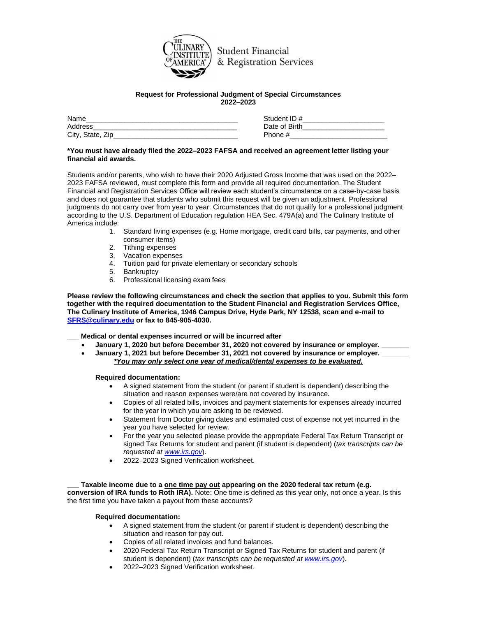

**Student Financial** & Registration Services

### **Request for Professional Judgment of Special Circumstances 2022–2023**

| Name             | Student ID #  |
|------------------|---------------|
| Address          | Date of Birth |
| City, State, Zip | Phone #       |

# **\*You must have already filed the 2022–2023 FAFSA and received an agreement letter listing your financial aid awards.**

Students and/or parents, who wish to have their 2020 Adjusted Gross Income that was used on the 2022– 2023 FAFSA reviewed, must complete this form and provide all required documentation. The Student Financial and Registration Services Office will review each student's circumstance on a case-by-case basis and does not guarantee that students who submit this request will be given an adjustment. Professional judgments do not carry over from year to year. Circumstances that do not qualify for a professional judgment according to the U.S. Department of Education regulation HEA Sec. 479A(a) and The Culinary Institute of America include:

- 1. Standard living expenses (e.g. Home mortgage, credit card bills, car payments, and other consumer items)
- 2. Tithing expenses
- 3. Vacation expenses
- 4. Tuition paid for private elementary or secondary schools
- 5. Bankruptcy
- 6. Professional licensing exam fees

**Please review the following circumstances and check the section that applies to you. Submit this form together with the required documentation to the Student Financial and Registration Services Office, The Culinary Institute of America, 1946 Campus Drive, Hyde Park, NY 12538, scan and e-mail to [SFRS@culinary.edu](mailto:SFRS@culinary.edu) or fax to 845-905-4030.**

**\_\_\_ Medical or dental expenses incurred or will be incurred after**

- **January 1, 2020 but before December 31, 2020 not covered by insurance or employer. \_\_\_\_\_\_\_**
	- **January 1, 2021 but before December 31, 2021 not covered by insurance or employer. \_\_\_\_\_\_\_** *\*You may only select one year of medical/dental expenses to be evaluated.*

**Required documentation:**

- A signed statement from the student (or parent if student is dependent) describing the situation and reason expenses were/are not covered by insurance.
- Copies of all related bills, invoices and payment statements for expenses already incurred for the year in which you are asking to be reviewed.
- Statement from Doctor giving dates and estimated cost of expense not yet incurred in the year you have selected for review.
- For the year you selected please provide the appropriate Federal Tax Return Transcript or signed Tax Returns for student and parent (if student is dependent) (*tax transcripts can be requested at [www.irs.gov](http://www.irs.gov/)*).
- 2022–2023 Signed Verification worksheet.

# **\_\_\_ Taxable income due to a one time pay out appearing on the 2020 federal tax return (e.g.**

**conversion of IRA funds to Roth IRA).** Note: One time is defined as this year only, not once a year. Is this the first time you have taken a payout from these accounts?

# **Required documentation:**

- A signed statement from the student (or parent if student is dependent) describing the situation and reason for pay out.
- Copies of all related invoices and fund balances.
- 2020 Federal Tax Return Transcript or Signed Tax Returns for student and parent (if student is dependent) (*tax transcripts can be requested at [www.irs.gov](http://www.irs.gov/)*).
- 2022–2023 Signed Verification worksheet.